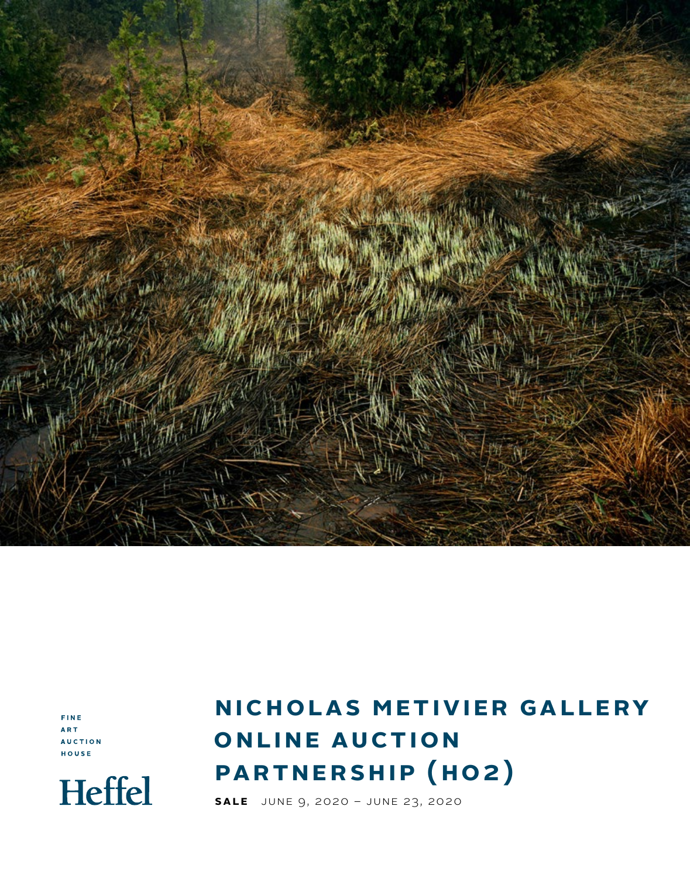

FINE ART **AUCTION** HOUSE



# **NICHOLAS METIVIER GALLERY ONLINE AUCTION partnership (ho2 )**

**Sale**  JUNE 9, 2020 – june 23, 2020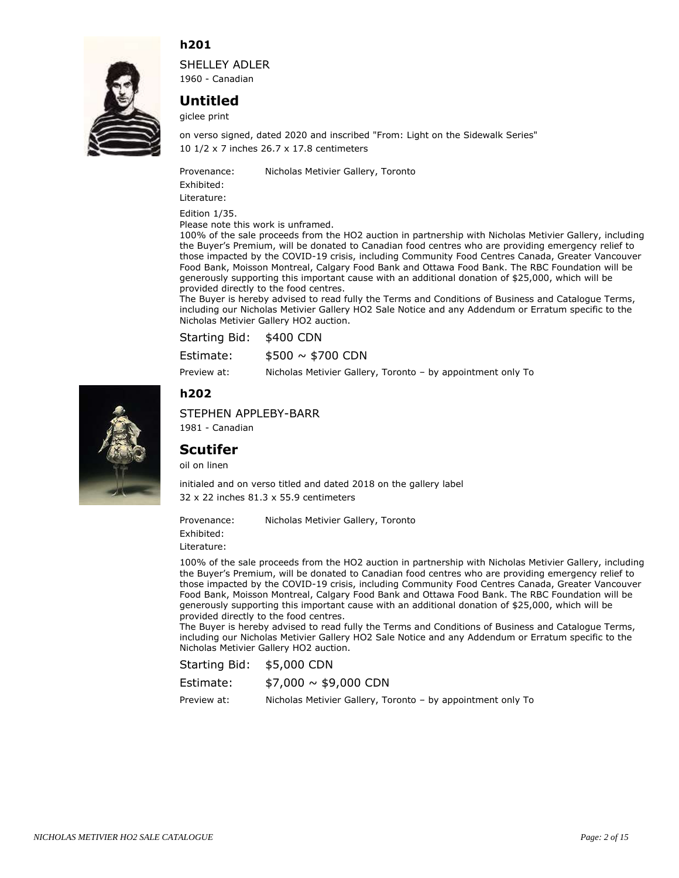

SHELLEY ADLER 1960 - Canadian

# **Untitled**

giclee print

10 1/2 x 7 inches 26.7 x 17.8 centimeters on verso signed, dated 2020 and inscribed "From: Light on the Sidewalk Series"

Provenance: Nicholas Metivier Gallery, Toronto

Exhibited:

Literature:

Edition 1/35.

Please note this work is unframed.

100% of the sale proceeds from the HO2 auction in partnership with Nicholas Metivier Gallery, including the Buyer's Premium, will be donated to Canadian food centres who are providing emergency relief to those impacted by the COVID-19 crisis, including Community Food Centres Canada, Greater Vancouver Food Bank, Moisson Montreal, Calgary Food Bank and Ottawa Food Bank. The RBC Foundation will be generously supporting this important cause with an additional donation of \$25,000, which will be provided directly to the food centres.

The Buyer is hereby advised to read fully the Terms and Conditions of Business and Catalogue Terms, including our Nicholas Metivier Gallery HO2 Sale Notice and any Addendum or Erratum specific to the Nicholas Metivier Gallery HO2 auction.

| Starting Bid: \$400 CDN |                                                             |
|-------------------------|-------------------------------------------------------------|
| Estimate:               | $$500 \sim $700$ CDN                                        |
| Preview at:             | Nicholas Metivier Gallery, Toronto – by appointment only To |

#### **h202**



STEPHEN APPLEBY-BARR

1981 - Canadian

#### **Scutifer**

oil on linen

32 x 22 inches 81.3 x 55.9 centimeters initialed and on verso titled and dated 2018 on the gallery label

Provenance: Nicholas Metivier Gallery, Toronto

Exhibited:

Literature:

100% of the sale proceeds from the HO2 auction in partnership with Nicholas Metivier Gallery, including the Buyer's Premium, will be donated to Canadian food centres who are providing emergency relief to those impacted by the COVID-19 crisis, including Community Food Centres Canada, Greater Vancouver Food Bank, Moisson Montreal, Calgary Food Bank and Ottawa Food Bank. The RBC Foundation will be generously supporting this important cause with an additional donation of \$25,000, which will be provided directly to the food centres.

The Buyer is hereby advised to read fully the Terms and Conditions of Business and Catalogue Terms, including our Nicholas Metivier Gallery HO2 Sale Notice and any Addendum or Erratum specific to the Nicholas Metivier Gallery HO2 auction.

Starting Bid: \$5,000 CDN

| Estimate:   | $$7,000 \sim $9,000$ CDN                                    |
|-------------|-------------------------------------------------------------|
| Preview at: | Nicholas Metivier Gallery, Toronto - by appointment only To |

*NICHOLAS METIVIER HO2 SALE CATALOGUE Page: 2 of 15*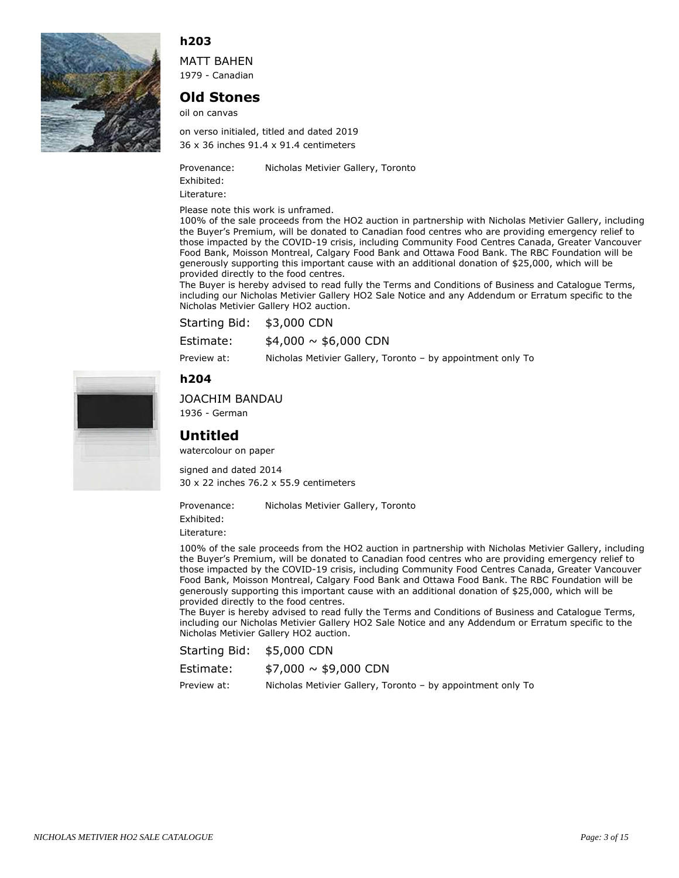

MATT BAHEN 1979 - Canadian

## **Old Stones**

oil on canvas

36 x 36 inches 91.4 x 91.4 centimeters on verso initialed, titled and dated 2019

Provenance: Nicholas Metivier Gallery, Toronto

Exhibited:

Literature:

Please note this work is unframed.

100% of the sale proceeds from the HO2 auction in partnership with Nicholas Metivier Gallery, including the Buyer's Premium, will be donated to Canadian food centres who are providing emergency relief to those impacted by the COVID-19 crisis, including Community Food Centres Canada, Greater Vancouver Food Bank, Moisson Montreal, Calgary Food Bank and Ottawa Food Bank. The RBC Foundation will be generously supporting this important cause with an additional donation of \$25,000, which will be provided directly to the food centres.

The Buyer is hereby advised to read fully the Terms and Conditions of Business and Catalogue Terms, including our Nicholas Metivier Gallery HO2 Sale Notice and any Addendum or Erratum specific to the Nicholas Metivier Gallery HO2 auction.

| Starting Bid: \$3,000 CDN |                          |  |
|---------------------------|--------------------------|--|
| Estimate:                 | $$4,000 \sim $6,000$ CDN |  |

Preview at: Nicholas Metivier Gallery, Toronto – by appointment only To

## **h204**



1936 - German

## **Untitled**

watercolour on paper

30 x 22 inches 76.2 x 55.9 centimeters signed and dated 2014

Provenance: Nicholas Metivier Gallery, Toronto

Exhibited:

Literature:

100% of the sale proceeds from the HO2 auction in partnership with Nicholas Metivier Gallery, including the Buyer's Premium, will be donated to Canadian food centres who are providing emergency relief to those impacted by the COVID-19 crisis, including Community Food Centres Canada, Greater Vancouver Food Bank, Moisson Montreal, Calgary Food Bank and Ottawa Food Bank. The RBC Foundation will be generously supporting this important cause with an additional donation of \$25,000, which will be provided directly to the food centres.

The Buyer is hereby advised to read fully the Terms and Conditions of Business and Catalogue Terms, including our Nicholas Metivier Gallery HO2 Sale Notice and any Addendum or Erratum specific to the Nicholas Metivier Gallery HO2 auction.

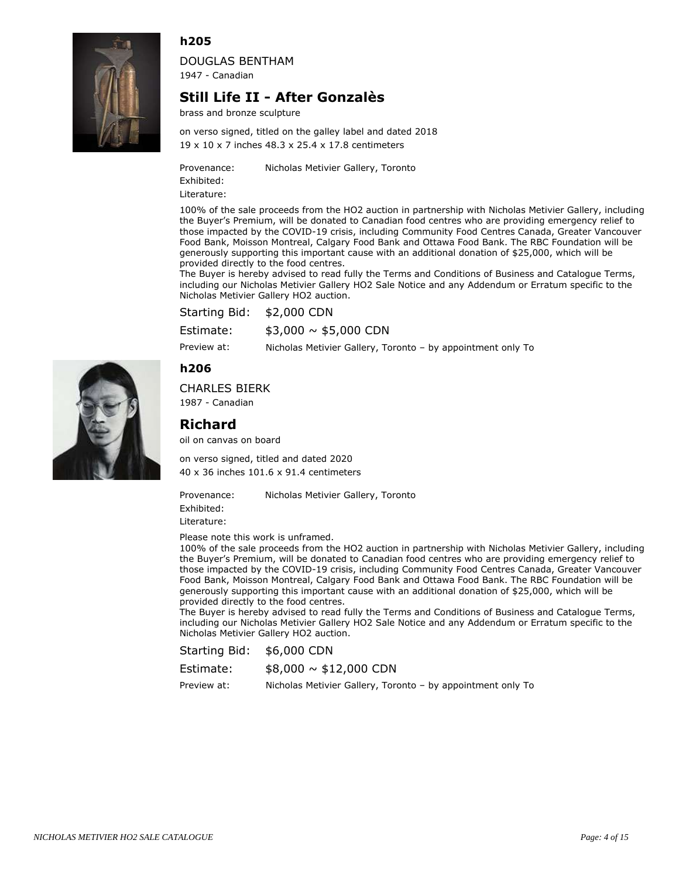

DOUGLAS BENTHAM 1947 - Canadian

## **Still Life II - After Gonzalès**

brass and bronze sculpture

19 x 10 x 7 inches 48.3 x 25.4 x 17.8 centimeters on verso signed, titled on the galley label and dated 2018

Provenance: Nicholas Metivier Gallery, Toronto

Exhibited:

Literature:

100% of the sale proceeds from the HO2 auction in partnership with Nicholas Metivier Gallery, including the Buyer's Premium, will be donated to Canadian food centres who are providing emergency relief to those impacted by the COVID-19 crisis, including Community Food Centres Canada, Greater Vancouver Food Bank, Moisson Montreal, Calgary Food Bank and Ottawa Food Bank. The RBC Foundation will be generously supporting this important cause with an additional donation of \$25,000, which will be provided directly to the food centres.

The Buyer is hereby advised to read fully the Terms and Conditions of Business and Catalogue Terms, including our Nicholas Metivier Gallery HO2 Sale Notice and any Addendum or Erratum specific to the Nicholas Metivier Gallery HO2 auction.

Starting Bid: \$2,000 CDN

 $$3,000 \sim $5,000$  CDN Estimate:

Preview at: Nicholas Metivier Gallery, Toronto – by appointment only To

#### **h206**

CHARLES BIERK

1987 - Canadian

## **Richard**

oil on canvas on board

40 x 36 inches 101.6 x 91.4 centimeters on verso signed, titled and dated 2020

Provenance: Nicholas Metivier Gallery, Toronto Exhibited: Literature:

Please note this work is unframed.

100% of the sale proceeds from the HO2 auction in partnership with Nicholas Metivier Gallery, including the Buyer's Premium, will be donated to Canadian food centres who are providing emergency relief to those impacted by the COVID-19 crisis, including Community Food Centres Canada, Greater Vancouver Food Bank, Moisson Montreal, Calgary Food Bank and Ottawa Food Bank. The RBC Foundation will be generously supporting this important cause with an additional donation of \$25,000, which will be provided directly to the food centres.

The Buyer is hereby advised to read fully the Terms and Conditions of Business and Catalogue Terms, including our Nicholas Metivier Gallery HO2 Sale Notice and any Addendum or Erratum specific to the Nicholas Metivier Gallery HO2 auction.

Starting Bid: \$6,000 CDN

| Estimate: | $$8,000 \sim $12,000$ CDN |
|-----------|---------------------------|
|-----------|---------------------------|

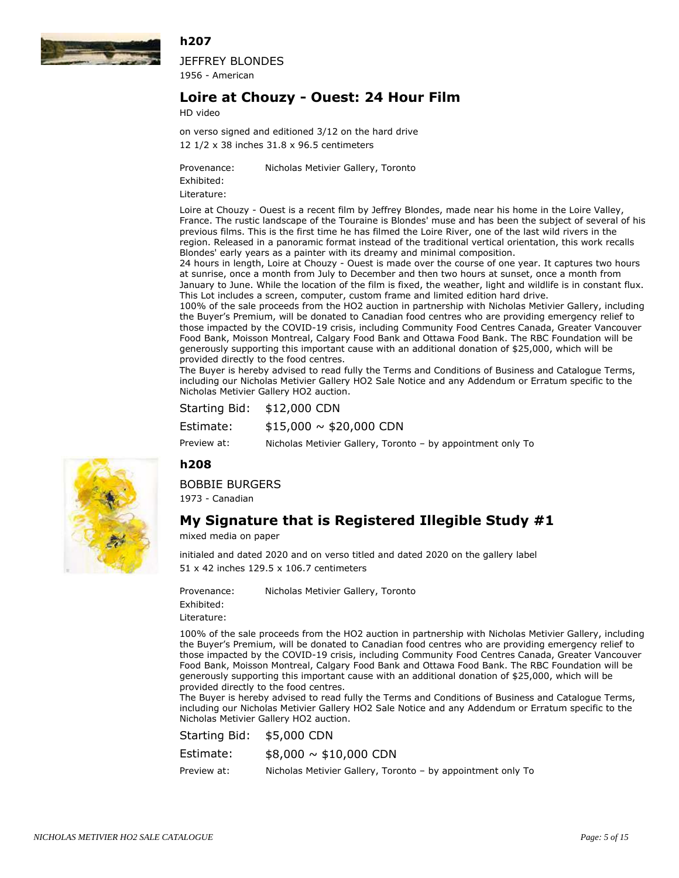

JEFFREY BLONDES 1956 - American

## **Loire at Chouzy - Ouest: 24 Hour Film**

HD video

12 1/2 x 38 inches 31.8 x 96.5 centimeters on verso signed and editioned 3/12 on the hard drive

Provenance: Nicholas Metivier Gallery, Toronto

Exhibited:

Literature:

Loire at Chouzy - Ouest is a recent film by Jeffrey Blondes, made near his home in the Loire Valley, France. The rustic landscape of the Touraine is Blondes' muse and has been the subject of several of his previous films. This is the first time he has filmed the Loire River, one of the last wild rivers in the region. Released in a panoramic format instead of the traditional vertical orientation, this work recalls Blondes' early years as a painter with its dreamy and minimal composition.

24 hours in length, Loire at Chouzy - Ouest is made over the course of one year. It captures two hours at sunrise, once a month from July to December and then two hours at sunset, once a month from January to June. While the location of the film is fixed, the weather, light and wildlife is in constant flux. This Lot includes a screen, computer, custom frame and limited edition hard drive.

100% of the sale proceeds from the HO2 auction in partnership with Nicholas Metivier Gallery, including the Buyer's Premium, will be donated to Canadian food centres who are providing emergency relief to those impacted by the COVID-19 crisis, including Community Food Centres Canada, Greater Vancouver Food Bank, Moisson Montreal, Calgary Food Bank and Ottawa Food Bank. The RBC Foundation will be generously supporting this important cause with an additional donation of \$25,000, which will be provided directly to the food centres.

The Buyer is hereby advised to read fully the Terms and Conditions of Business and Catalogue Terms, including our Nicholas Metivier Gallery HO2 Sale Notice and any Addendum or Erratum specific to the Nicholas Metivier Gallery HO2 auction.

| <b>Starting Bid:</b> | \$12,000 CDN |
|----------------------|--------------|
|                      |              |

 $$15,000 \sim $20,000$  CDN Estimate:

Preview at: Nicholas Metivier Gallery, Toronto – by appointment only To

#### **h208**

BOBBIE BURGERS

1973 - Canadian

## **My Signature that is Registered Illegible Study #1**

mixed media on paper

51 x 42 inches 129.5 x 106.7 centimeters initialed and dated 2020 and on verso titled and dated 2020 on the gallery label

Provenance: Nicholas Metivier Gallery, Toronto

Exhibited:

Literature:

100% of the sale proceeds from the HO2 auction in partnership with Nicholas Metivier Gallery, including the Buyer's Premium, will be donated to Canadian food centres who are providing emergency relief to those impacted by the COVID-19 crisis, including Community Food Centres Canada, Greater Vancouver Food Bank, Moisson Montreal, Calgary Food Bank and Ottawa Food Bank. The RBC Foundation will be generously supporting this important cause with an additional donation of \$25,000, which will be provided directly to the food centres.

The Buyer is hereby advised to read fully the Terms and Conditions of Business and Catalogue Terms, including our Nicholas Metivier Gallery HO2 Sale Notice and any Addendum or Erratum specific to the Nicholas Metivier Gallery HO2 auction.

| Starting Bid: | \$5,000 CDN                                                 |
|---------------|-------------------------------------------------------------|
| Estimate:     | $$8,000 \sim $10,000$ CDN                                   |
| Preview at:   | Nicholas Metivier Gallery, Toronto – by appointment only To |

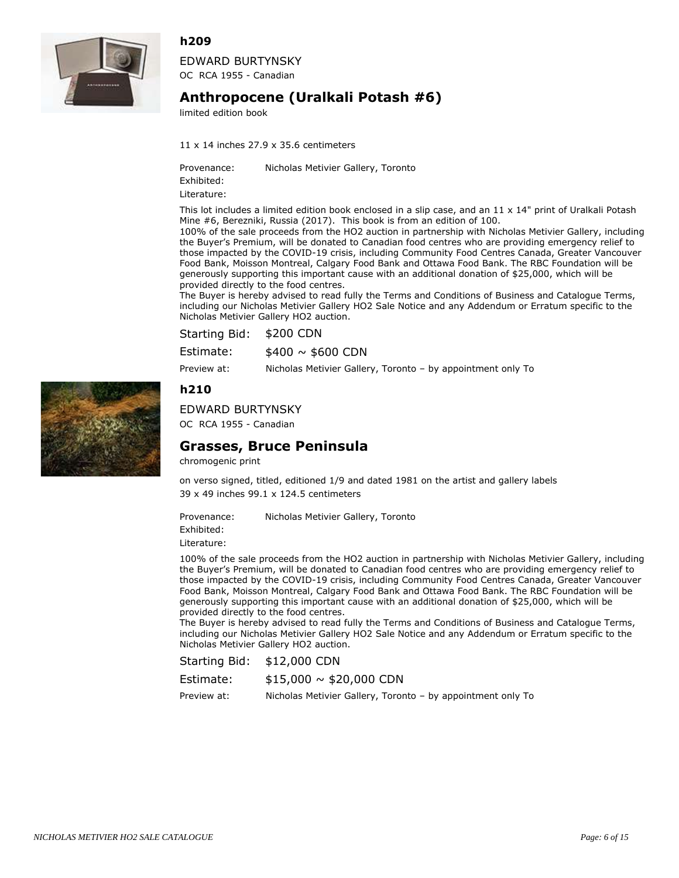

EDWARD BURTYNSKY OC RCA 1955 - Canadian

# **Anthropocene (Uralkali Potash #6)**

limited edition book

11 x 14 inches 27.9 x 35.6 centimeters

Provenance: Nicholas Metivier Gallery, Toronto

Exhibited:

Literature:

This lot includes a limited edition book enclosed in a slip case, and an  $11 \times 14$ " print of Uralkali Potash Mine #6, Berezniki, Russia (2017). This book is from an edition of 100.

100% of the sale proceeds from the HO2 auction in partnership with Nicholas Metivier Gallery, including the Buyer's Premium, will be donated to Canadian food centres who are providing emergency relief to those impacted by the COVID-19 crisis, including Community Food Centres Canada, Greater Vancouver Food Bank, Moisson Montreal, Calgary Food Bank and Ottawa Food Bank. The RBC Foundation will be generously supporting this important cause with an additional donation of \$25,000, which will be provided directly to the food centres.

The Buyer is hereby advised to read fully the Terms and Conditions of Business and Catalogue Terms, including our Nicholas Metivier Gallery HO2 Sale Notice and any Addendum or Erratum specific to the Nicholas Metivier Gallery HO2 auction.

| Starting Bid: \$200 CDN |                                                             |
|-------------------------|-------------------------------------------------------------|
| Estimate:               | $$400 \sim $600$ CDN                                        |
| Preview at:             | Nicholas Metivier Gallery, Toronto – by appointment only To |

#### **h210**

EDWARD BURTYNSKY OC RCA 1955 - Canadian

## **Grasses, Bruce Peninsula**

chromogenic print

39 x 49 inches 99.1 x 124.5 centimeters on verso signed, titled, editioned 1/9 and dated 1981 on the artist and gallery labels

Provenance: Nicholas Metivier Gallery, Toronto

Exhibited:

Literature:

100% of the sale proceeds from the HO2 auction in partnership with Nicholas Metivier Gallery, including the Buyer's Premium, will be donated to Canadian food centres who are providing emergency relief to those impacted by the COVID-19 crisis, including Community Food Centres Canada, Greater Vancouver Food Bank, Moisson Montreal, Calgary Food Bank and Ottawa Food Bank. The RBC Foundation will be generously supporting this important cause with an additional donation of \$25,000, which will be provided directly to the food centres.

The Buyer is hereby advised to read fully the Terms and Conditions of Business and Catalogue Terms, including our Nicholas Metivier Gallery HO2 Sale Notice and any Addendum or Erratum specific to the Nicholas Metivier Gallery HO2 auction.

| <b>Starting Bid:</b> | \$12,000 CDN |
|----------------------|--------------|
|----------------------|--------------|

| Estimate: |  | $$15,000 \sim $20,000$ CDN |
|-----------|--|----------------------------|
|-----------|--|----------------------------|

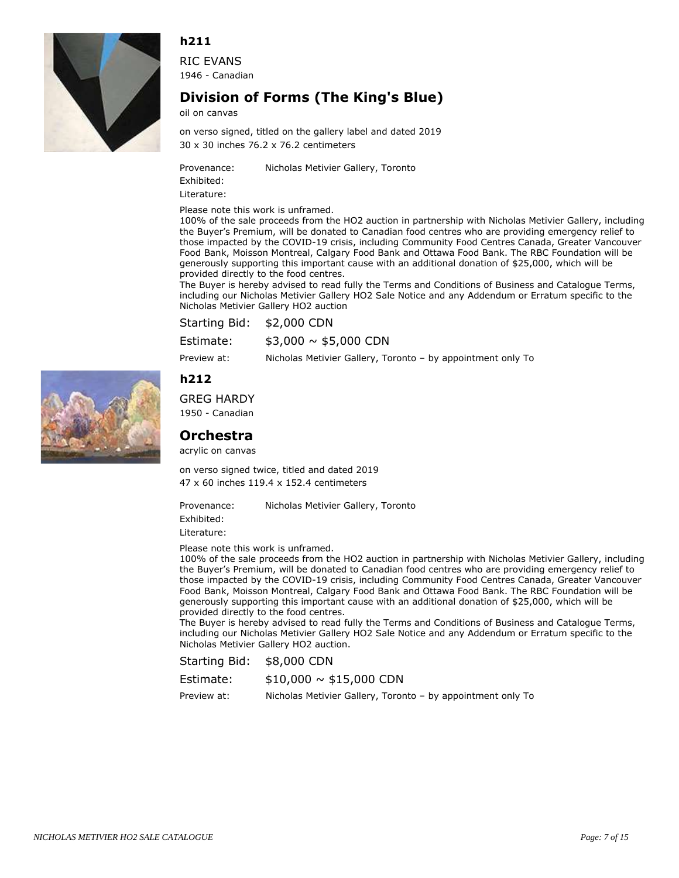

RIC EVANS 1946 - Canadian

# **Division of Forms (The King's Blue)**

oil on canvas

30 x 30 inches 76.2 x 76.2 centimeters on verso signed, titled on the gallery label and dated 2019

Provenance: Nicholas Metivier Gallery, Toronto

Exhibited: Literature:

Please note this work is unframed.

100% of the sale proceeds from the HO2 auction in partnership with Nicholas Metivier Gallery, including the Buyer's Premium, will be donated to Canadian food centres who are providing emergency relief to those impacted by the COVID-19 crisis, including Community Food Centres Canada, Greater Vancouver Food Bank, Moisson Montreal, Calgary Food Bank and Ottawa Food Bank. The RBC Foundation will be generously supporting this important cause with an additional donation of \$25,000, which will be provided directly to the food centres.

The Buyer is hereby advised to read fully the Terms and Conditions of Business and Catalogue Terms, including our Nicholas Metivier Gallery HO2 Sale Notice and any Addendum or Erratum specific to the Nicholas Metivier Gallery HO2 auction

| Starting Bid: \$2,000 CDN |                                                             |
|---------------------------|-------------------------------------------------------------|
| Estimate:                 | $$3,000 \sim $5,000$ CDN                                    |
| Preview at:               | Nicholas Metivier Gallery, Toronto – by appointment only To |

## **h212**

GREG HARDY

1950 - Canadian

## **Orchestra**

acrylic on canvas

47 x 60 inches 119.4 x 152.4 centimeters on verso signed twice, titled and dated 2019

Provenance: Nicholas Metivier Gallery, Toronto

Exhibited:

Literature:

Please note this work is unframed.

100% of the sale proceeds from the HO2 auction in partnership with Nicholas Metivier Gallery, including the Buyer's Premium, will be donated to Canadian food centres who are providing emergency relief to those impacted by the COVID-19 crisis, including Community Food Centres Canada, Greater Vancouver Food Bank, Moisson Montreal, Calgary Food Bank and Ottawa Food Bank. The RBC Foundation will be generously supporting this important cause with an additional donation of \$25,000, which will be provided directly to the food centres.

The Buyer is hereby advised to read fully the Terms and Conditions of Business and Catalogue Terms, including our Nicholas Metivier Gallery HO2 Sale Notice and any Addendum or Erratum specific to the Nicholas Metivier Gallery HO2 auction.

Starting Bid: \$8,000 CDN

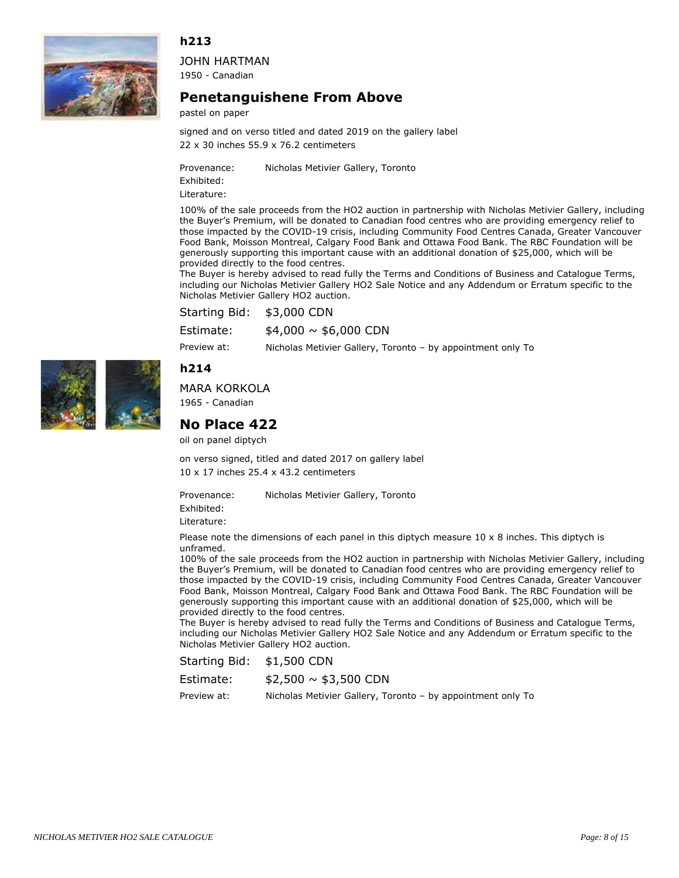

JOHN HARTMAN 1950 - Canadian

## **Penetanguishene From Above**

pastel on paper

22 x 30 inches 55.9 x 76.2 centimeters signed and on verso titled and dated 2019 on the gallery label

Provenance: Nicholas Metivier Gallery, Toronto

Exhibited:

Literature:

100% of the sale proceeds from the HO2 auction in partnership with Nicholas Metivier Gallery, including the Buyer's Premium, will be donated to Canadian food centres who are providing emergency relief to those impacted by the COVID-19 crisis, including Community Food Centres Canada, Greater Vancouver Food Bank, Moisson Montreal, Calgary Food Bank and Ottawa Food Bank. The RBC Foundation will be generously supporting this important cause with an additional donation of \$25,000, which will be provided directly to the food centres.

The Buyer is hereby advised to read fully the Terms and Conditions of Business and Catalogue Terms, including our Nicholas Metivier Gallery HO2 Sale Notice and any Addendum or Erratum specific to the Nicholas Metivier Gallery HO2 auction.

Starting Bid: \$3,000 CDN

 $$4,000 \sim $6,000$  CDN Estimate:

Preview at: Nicholas Metivier Gallery, Toronto – by appointment only To





# MARA KORKOLA

1965 - Canadian

## **No Place 422**

oil on panel diptych

10 x 17 inches 25.4 x 43.2 centimeters on verso signed, titled and dated 2017 on gallery label

Provenance: Nicholas Metivier Gallery, Toronto

Exhibited: Literature:

Please note the dimensions of each panel in this diptych measure  $10 \times 8$  inches. This diptych is unframed.

100% of the sale proceeds from the HO2 auction in partnership with Nicholas Metivier Gallery, including the Buyer's Premium, will be donated to Canadian food centres who are providing emergency relief to those impacted by the COVID-19 crisis, including Community Food Centres Canada, Greater Vancouver Food Bank, Moisson Montreal, Calgary Food Bank and Ottawa Food Bank. The RBC Foundation will be generously supporting this important cause with an additional donation of \$25,000, which will be provided directly to the food centres.

The Buyer is hereby advised to read fully the Terms and Conditions of Business and Catalogue Terms, including our Nicholas Metivier Gallery HO2 Sale Notice and any Addendum or Erratum specific to the Nicholas Metivier Gallery HO2 auction.

| Estimate: | $$2,500 \sim $3,500$ CDN |  |
|-----------|--------------------------|--|
|-----------|--------------------------|--|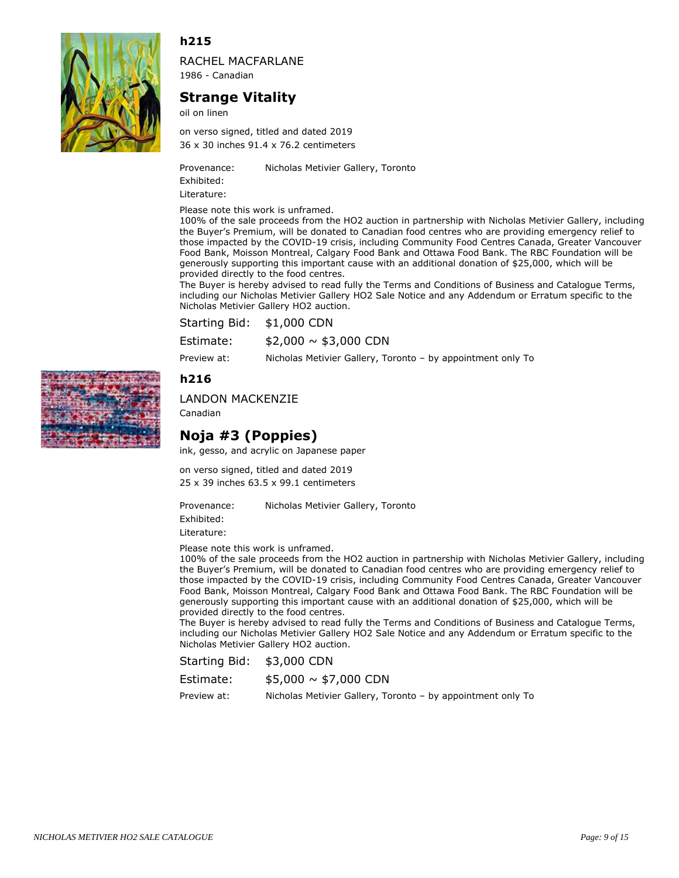

RACHEL MACFARLANE 1986 - Canadian

## **Strange Vitality**

oil on linen

36 x 30 inches 91.4 x 76.2 centimeters on verso signed, titled and dated 2019

Provenance: Nicholas Metivier Gallery, Toronto

Exhibited:

Literature:

Please note this work is unframed.

100% of the sale proceeds from the HO2 auction in partnership with Nicholas Metivier Gallery, including the Buyer's Premium, will be donated to Canadian food centres who are providing emergency relief to those impacted by the COVID-19 crisis, including Community Food Centres Canada, Greater Vancouver Food Bank, Moisson Montreal, Calgary Food Bank and Ottawa Food Bank. The RBC Foundation will be generously supporting this important cause with an additional donation of \$25,000, which will be provided directly to the food centres.

The Buyer is hereby advised to read fully the Terms and Conditions of Business and Catalogue Terms, including our Nicholas Metivier Gallery HO2 Sale Notice and any Addendum or Erratum specific to the Nicholas Metivier Gallery HO2 auction.

| Starting Bid: \$1,000 CDN |                          |
|---------------------------|--------------------------|
| Estimate:                 | $$2,000 \sim $3,000$ CDN |

Preview at: Nicholas Metivier Gallery, Toronto – by appointment only To

#### **h216**



Canadian

## **Noja #3 (Poppies)**

ink, gesso, and acrylic on Japanese paper

25 x 39 inches 63.5 x 99.1 centimeters on verso signed, titled and dated 2019

Provenance: Nicholas Metivier Gallery, Toronto

Exhibited:

Literature:

Please note this work is unframed.

100% of the sale proceeds from the HO2 auction in partnership with Nicholas Metivier Gallery, including the Buyer's Premium, will be donated to Canadian food centres who are providing emergency relief to those impacted by the COVID-19 crisis, including Community Food Centres Canada, Greater Vancouver Food Bank, Moisson Montreal, Calgary Food Bank and Ottawa Food Bank. The RBC Foundation will be generously supporting this important cause with an additional donation of \$25,000, which will be provided directly to the food centres.

The Buyer is hereby advised to read fully the Terms and Conditions of Business and Catalogue Terms, including our Nicholas Metivier Gallery HO2 Sale Notice and any Addendum or Erratum specific to the Nicholas Metivier Gallery HO2 auction.

| Estimate: | $$5,000 \sim $7,000$ CDN |  |
|-----------|--------------------------|--|
|-----------|--------------------------|--|

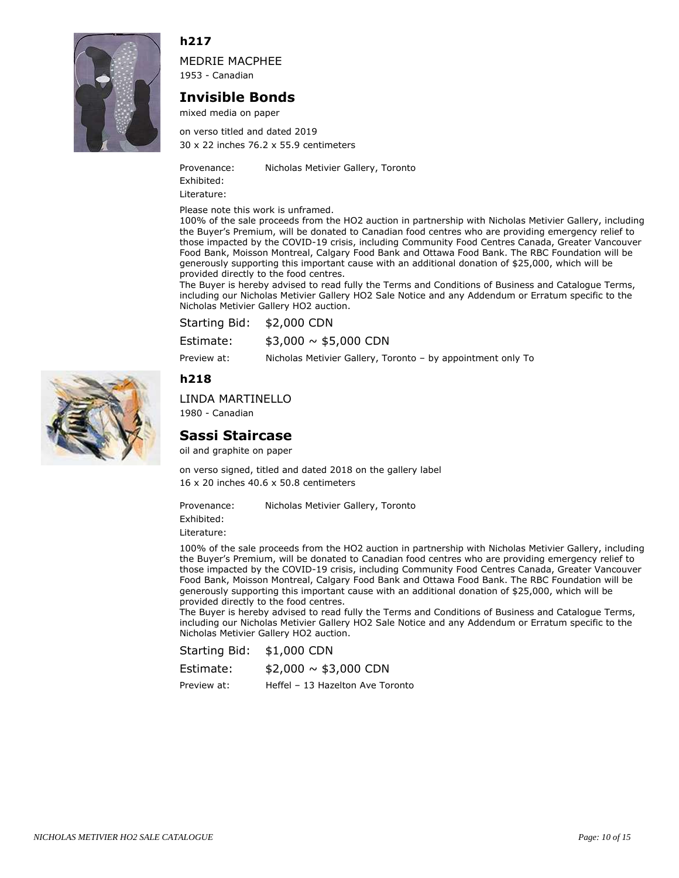

MEDRIE MACPHEE 1953 - Canadian

## **Invisible Bonds**

mixed media on paper

30 x 22 inches 76.2 x 55.9 centimeters on verso titled and dated 2019

Provenance: Nicholas Metivier Gallery, Toronto

Exhibited: Literature:

Please note this work is unframed.

100% of the sale proceeds from the HO2 auction in partnership with Nicholas Metivier Gallery, including the Buyer's Premium, will be donated to Canadian food centres who are providing emergency relief to those impacted by the COVID-19 crisis, including Community Food Centres Canada, Greater Vancouver Food Bank, Moisson Montreal, Calgary Food Bank and Ottawa Food Bank. The RBC Foundation will be generously supporting this important cause with an additional donation of \$25,000, which will be provided directly to the food centres.

The Buyer is hereby advised to read fully the Terms and Conditions of Business and Catalogue Terms, including our Nicholas Metivier Gallery HO2 Sale Notice and any Addendum or Erratum specific to the Nicholas Metivier Gallery HO2 auction.

| Starting Bid: \$2,000 CDN |                          |
|---------------------------|--------------------------|
| Estimate:                 | $$3,000 \sim $5,000$ CDN |

Preview at: Nicholas Metivier Gallery, Toronto – by appointment only To

**h218**

#### LINDA MARTINELLO

1980 - Canadian

## **Sassi Staircase**

oil and graphite on paper

16 x 20 inches 40.6 x 50.8 centimeters on verso signed, titled and dated 2018 on the gallery label

Provenance: Nicholas Metivier Gallery, Toronto

Exhibited:

Literature:

100% of the sale proceeds from the HO2 auction in partnership with Nicholas Metivier Gallery, including the Buyer's Premium, will be donated to Canadian food centres who are providing emergency relief to those impacted by the COVID-19 crisis, including Community Food Centres Canada, Greater Vancouver Food Bank, Moisson Montreal, Calgary Food Bank and Ottawa Food Bank. The RBC Foundation will be generously supporting this important cause with an additional donation of \$25,000, which will be provided directly to the food centres.

The Buyer is hereby advised to read fully the Terms and Conditions of Business and Catalogue Terms, including our Nicholas Metivier Gallery HO2 Sale Notice and any Addendum or Erratum specific to the Nicholas Metivier Gallery HO2 auction.

| Estimate:   | $$2,000 \sim $3,000$ CDN         |
|-------------|----------------------------------|
| Preview at: | Heffel - 13 Hazelton Ave Toronto |

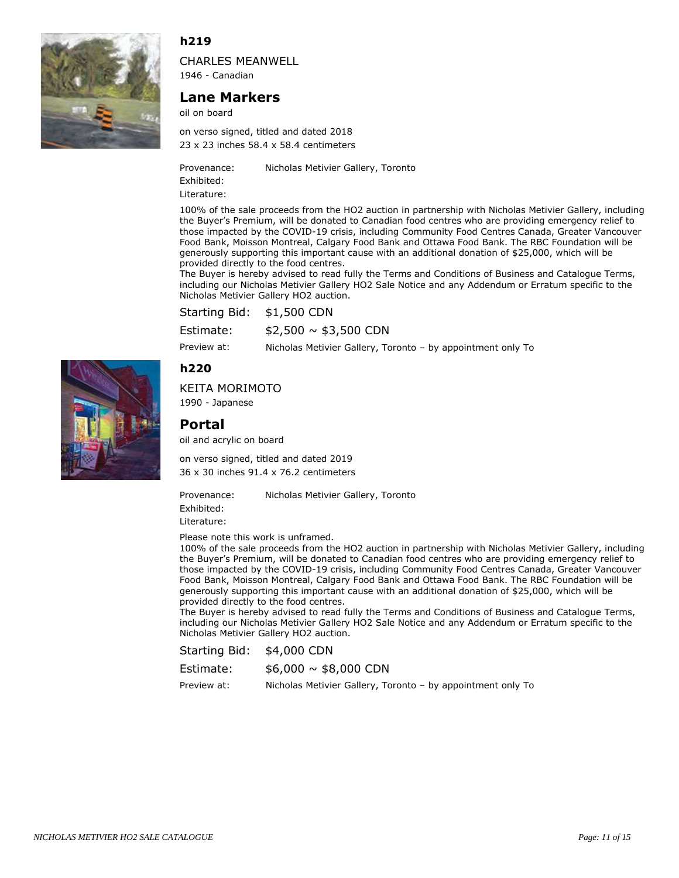

CHARLES MEANWELL

1946 - Canadian

#### **Lane Markers**

oil on board

23 x 23 inches 58.4 x 58.4 centimeters on verso signed, titled and dated 2018

Provenance: Nicholas Metivier Gallery, Toronto

Exhibited:

Literature:

100% of the sale proceeds from the HO2 auction in partnership with Nicholas Metivier Gallery, including the Buyer's Premium, will be donated to Canadian food centres who are providing emergency relief to those impacted by the COVID-19 crisis, including Community Food Centres Canada, Greater Vancouver Food Bank, Moisson Montreal, Calgary Food Bank and Ottawa Food Bank. The RBC Foundation will be generously supporting this important cause with an additional donation of \$25,000, which will be provided directly to the food centres.

The Buyer is hereby advised to read fully the Terms and Conditions of Business and Catalogue Terms, including our Nicholas Metivier Gallery HO2 Sale Notice and any Addendum or Erratum specific to the Nicholas Metivier Gallery HO2 auction.

Starting Bid: \$1,500 CDN

 $$2,500 \sim $3,500$  CDN Estimate:

Preview at: Nicholas Metivier Gallery, Toronto – by appointment only To

## **h220**

KEITA MORIMOTO

1990 - Japanese

## **Portal**

oil and acrylic on board

36 x 30 inches 91.4 x 76.2 centimeters on verso signed, titled and dated 2019

Provenance: Nicholas Metivier Gallery, Toronto Exhibited: Literature:

Please note this work is unframed.

100% of the sale proceeds from the HO2 auction in partnership with Nicholas Metivier Gallery, including the Buyer's Premium, will be donated to Canadian food centres who are providing emergency relief to those impacted by the COVID-19 crisis, including Community Food Centres Canada, Greater Vancouver Food Bank, Moisson Montreal, Calgary Food Bank and Ottawa Food Bank. The RBC Foundation will be generously supporting this important cause with an additional donation of \$25,000, which will be provided directly to the food centres.

The Buyer is hereby advised to read fully the Terms and Conditions of Business and Catalogue Terms, including our Nicholas Metivier Gallery HO2 Sale Notice and any Addendum or Erratum specific to the Nicholas Metivier Gallery HO2 auction.

Starting Bid: \$4,000 CDN

| Estimate: | $$6,000 \sim $8,000$ CDN |  |
|-----------|--------------------------|--|
|-----------|--------------------------|--|

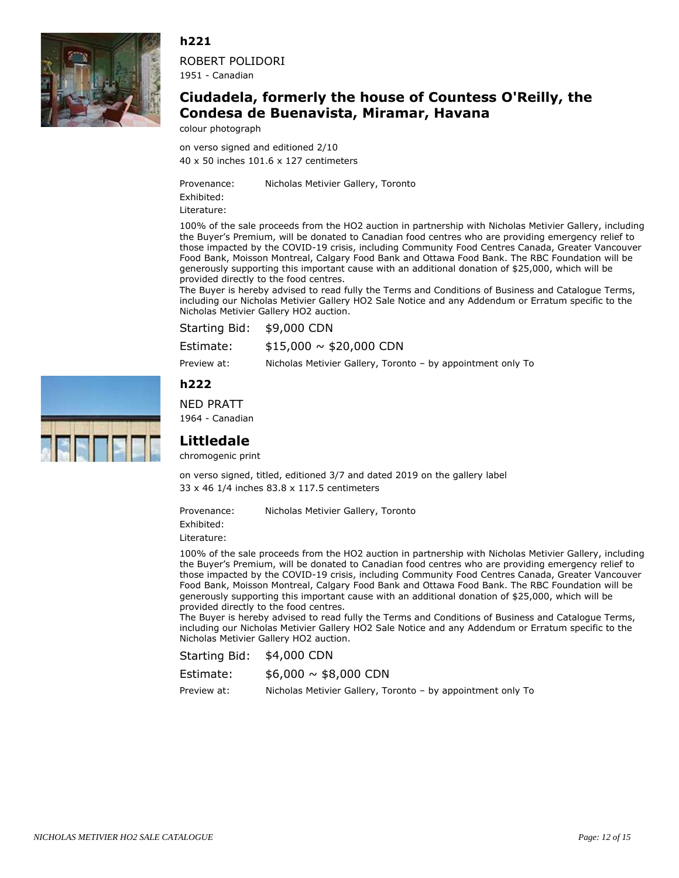

ROBERT POLIDORI 1951 - Canadian

## **Ciudadela, formerly the house of Countess O'Reilly, the Condesa de Buenavista, Miramar, Havana**

colour photograph

40 x 50 inches 101.6 x 127 centimeters on verso signed and editioned 2/10

Provenance: Nicholas Metivier Gallery, Toronto Exhibited:

Literature:

100% of the sale proceeds from the HO2 auction in partnership with Nicholas Metivier Gallery, including the Buyer's Premium, will be donated to Canadian food centres who are providing emergency relief to those impacted by the COVID-19 crisis, including Community Food Centres Canada, Greater Vancouver Food Bank, Moisson Montreal, Calgary Food Bank and Ottawa Food Bank. The RBC Foundation will be generously supporting this important cause with an additional donation of \$25,000, which will be provided directly to the food centres.

The Buyer is hereby advised to read fully the Terms and Conditions of Business and Catalogue Terms, including our Nicholas Metivier Gallery HO2 Sale Notice and any Addendum or Erratum specific to the Nicholas Metivier Gallery HO2 auction.

| <b>Starting Bid:</b> | \$9,000 CDN |
|----------------------|-------------|
|----------------------|-------------|

Preview at: Nicholas Metivier Gallery, Toronto – by appointment only To

## **h222**

NED PRATT 1964 - Canadian





chromogenic print

33 x 46 1/4 inches 83.8 x 117.5 centimeters on verso signed, titled, editioned 3/7 and dated 2019 on the gallery label

Provenance: Nicholas Metivier Gallery, Toronto

Exhibited: Literature:

100% of the sale proceeds from the HO2 auction in partnership with Nicholas Metivier Gallery, including the Buyer's Premium, will be donated to Canadian food centres who are providing emergency relief to those impacted by the COVID-19 crisis, including Community Food Centres Canada, Greater Vancouver Food Bank, Moisson Montreal, Calgary Food Bank and Ottawa Food Bank. The RBC Foundation will be generously supporting this important cause with an additional donation of \$25,000, which will be provided directly to the food centres.

The Buyer is hereby advised to read fully the Terms and Conditions of Business and Catalogue Terms, including our Nicholas Metivier Gallery HO2 Sale Notice and any Addendum or Erratum specific to the Nicholas Metivier Gallery HO2 auction.

Starting Bid: \$4,000 CDN

 $$6,000 \sim $8,000$  CDN Estimate: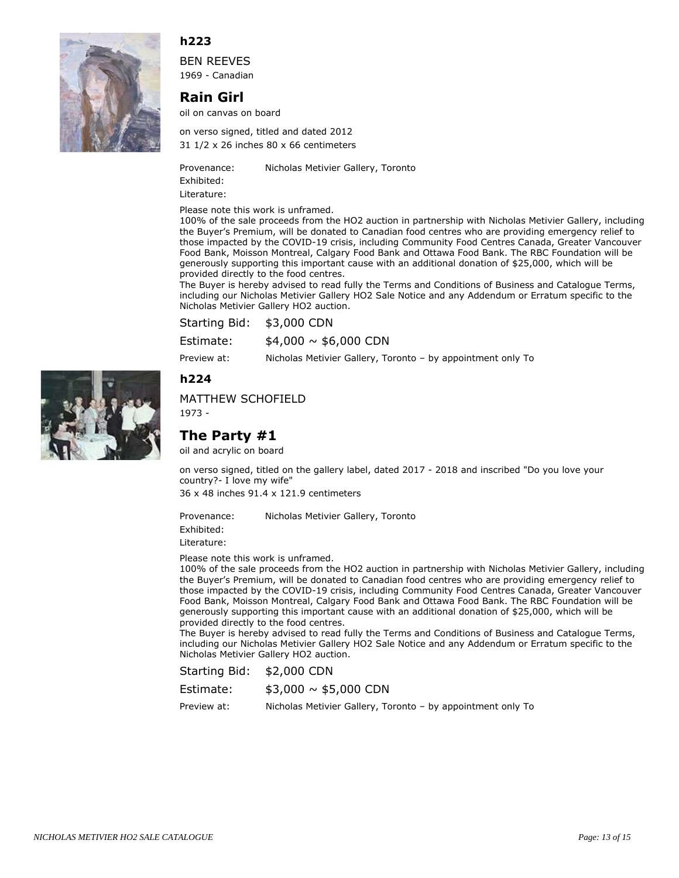

BEN REEVES 1969 - Canadian

## **Rain Girl**

oil on canvas on board

31 1/2 x 26 inches 80 x 66 centimeters on verso signed, titled and dated 2012

Provenance: Nicholas Metivier Gallery, Toronto

Exhibited: Literature:

Please note this work is unframed.

100% of the sale proceeds from the HO2 auction in partnership with Nicholas Metivier Gallery, including the Buyer's Premium, will be donated to Canadian food centres who are providing emergency relief to those impacted by the COVID-19 crisis, including Community Food Centres Canada, Greater Vancouver Food Bank, Moisson Montreal, Calgary Food Bank and Ottawa Food Bank. The RBC Foundation will be generously supporting this important cause with an additional donation of \$25,000, which will be provided directly to the food centres.

The Buyer is hereby advised to read fully the Terms and Conditions of Business and Catalogue Terms, including our Nicholas Metivier Gallery HO2 Sale Notice and any Addendum or Erratum specific to the Nicholas Metivier Gallery HO2 auction.

| Starting Bid: | \$3,000 CDN              |
|---------------|--------------------------|
| Estimate:     | $$4,000 \sim $6,000$ CDN |

Preview at: Nicholas Metivier Gallery, Toronto – by appointment only To

#### **h224**

#### MATTHEW SCHOFIELD

1973 -

## **The Party #1**

oil and acrylic on board

on verso signed, titled on the gallery label, dated 2017 - 2018 and inscribed "Do you love your country?- I love my wife"

36 x 48 inches 91.4 x 121.9 centimeters

Provenance: Nicholas Metivier Gallery, Toronto

Exhibited:

Literature:

Please note this work is unframed.

100% of the sale proceeds from the HO2 auction in partnership with Nicholas Metivier Gallery, including the Buyer's Premium, will be donated to Canadian food centres who are providing emergency relief to those impacted by the COVID-19 crisis, including Community Food Centres Canada, Greater Vancouver Food Bank, Moisson Montreal, Calgary Food Bank and Ottawa Food Bank. The RBC Foundation will be generously supporting this important cause with an additional donation of \$25,000, which will be provided directly to the food centres.

The Buyer is hereby advised to read fully the Terms and Conditions of Business and Catalogue Terms, including our Nicholas Metivier Gallery HO2 Sale Notice and any Addendum or Erratum specific to the Nicholas Metivier Gallery HO2 auction.

Starting Bid: \$2,000 CDN

 $$3,000 \sim $5,000$  CDN Estimate:

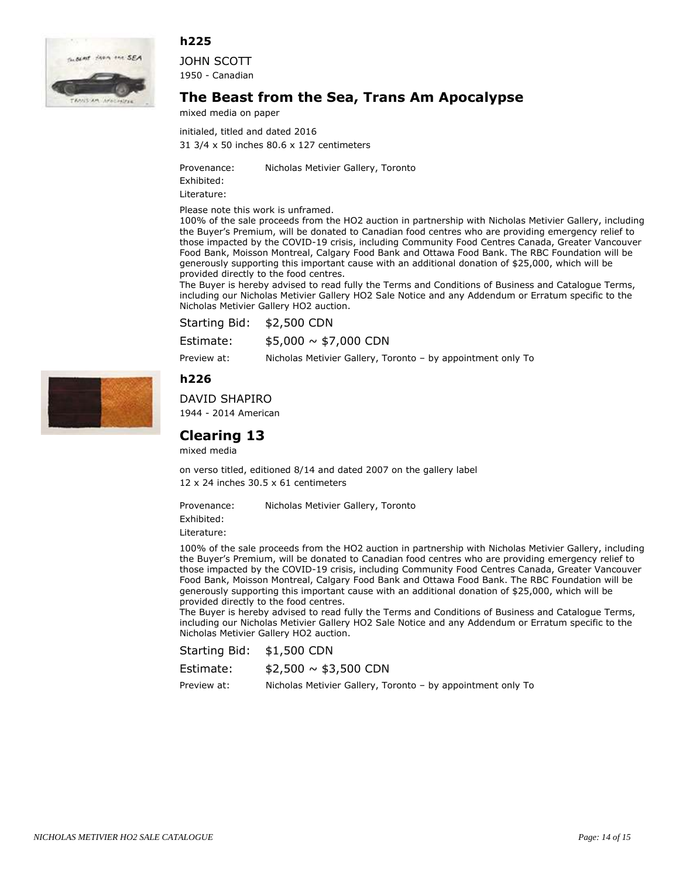



JOHN SCOTT 1950 - Canadian

## **The Beast from the Sea, Trans Am Apocalypse**

mixed media on paper

31 3/4 x 50 inches 80.6 x 127 centimeters initialed, titled and dated 2016

Provenance: Nicholas Metivier Gallery, Toronto

Exhibited: Literature:

Please note this work is unframed.

100% of the sale proceeds from the HO2 auction in partnership with Nicholas Metivier Gallery, including the Buyer's Premium, will be donated to Canadian food centres who are providing emergency relief to those impacted by the COVID-19 crisis, including Community Food Centres Canada, Greater Vancouver Food Bank, Moisson Montreal, Calgary Food Bank and Ottawa Food Bank. The RBC Foundation will be generously supporting this important cause with an additional donation of \$25,000, which will be provided directly to the food centres.

The Buyer is hereby advised to read fully the Terms and Conditions of Business and Catalogue Terms, including our Nicholas Metivier Gallery HO2 Sale Notice and any Addendum or Erratum specific to the Nicholas Metivier Gallery HO2 auction.

Starting Bid: \$2,500 CDN

 $$5,000 \sim $7,000$  CDN Estimate:

Preview at: Nicholas Metivier Gallery, Toronto – by appointment only To

**h226**



DAVID SHAPIRO

1944 - 2014 American

## **Clearing 13**

mixed media

12 x 24 inches 30.5 x 61 centimeters on verso titled, editioned 8/14 and dated 2007 on the gallery label

Provenance: Nicholas Metivier Gallery, Toronto

Exhibited:

Literature:

100% of the sale proceeds from the HO2 auction in partnership with Nicholas Metivier Gallery, including the Buyer's Premium, will be donated to Canadian food centres who are providing emergency relief to those impacted by the COVID-19 crisis, including Community Food Centres Canada, Greater Vancouver Food Bank, Moisson Montreal, Calgary Food Bank and Ottawa Food Bank. The RBC Foundation will be generously supporting this important cause with an additional donation of \$25,000, which will be provided directly to the food centres.

The Buyer is hereby advised to read fully the Terms and Conditions of Business and Catalogue Terms, including our Nicholas Metivier Gallery HO2 Sale Notice and any Addendum or Erratum specific to the Nicholas Metivier Gallery HO2 auction.

Starting Bid: \$1,500 CDN

| Estimate: |  | $$2,500 \sim $3,500$ CDN |
|-----------|--|--------------------------|
|-----------|--|--------------------------|